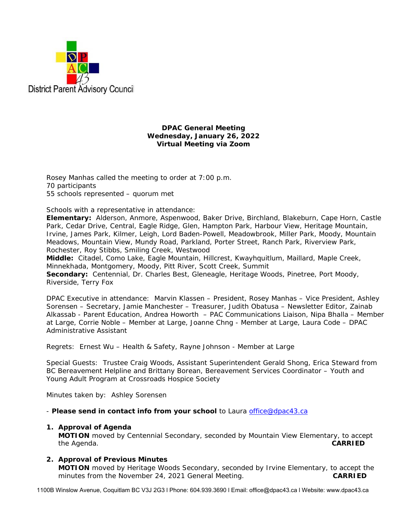

### **DPAC General Meeting Wednesday, January 26, 2022 Virtual Meeting via Zoom**

Rosey Manhas called the meeting to order at 7:00 p.m. 70 participants 55 schools represented – quorum met

Schools with a representative in attendance:

**Elementary:** Alderson, Anmore, Aspenwood, Baker Drive, Birchland, Blakeburn, Cape Horn, Castle Park, Cedar Drive, Central, Eagle Ridge, Glen, Hampton Park, Harbour View, Heritage Mountain, Irvine, James Park, Kilmer, Leigh, Lord Baden-Powell, Meadowbrook, Miller Park, Moody, Mountain Meadows, Mountain View, Mundy Road, Parkland, Porter Street, Ranch Park, Riverview Park, Rochester, Roy Stibbs, Smiling Creek, Westwood

**Middle:** Citadel, Como Lake, Eagle Mountain, Hillcrest, Kwayhquitlum, Maillard, Maple Creek, Minnekhada, Montgomery, Moody, Pitt River, Scott Creek, Summit

**Secondary:** Centennial, Dr. Charles Best, Gleneagle, Heritage Woods, Pinetree, Port Moody, Riverside, Terry Fox

DPAC Executive in attendance: Marvin Klassen – President, Rosey Manhas – Vice President, Ashley Sorensen – Secretary, Jamie Manchester – Treasurer, Judith Obatusa – Newsletter Editor, Zainab Alkassab - Parent Education, Andrea Howorth – PAC Communications Liaison, Nipa Bhalla – Member at Large, Corrie Noble – Member at Large, Joanne Chng - Member at Large, Laura Code – DPAC Administrative Assistant

Regrets: Ernest Wu – Health & Safety, Rayne Johnson - Member at Large

Special Guests: Trustee Craig Woods, Assistant Superintendent Gerald Shong, Erica Steward from BC Bereavement Helpline and Brittany Borean, Bereavement Services Coordinator – Youth and Young Adult Program at Crossroads Hospice Society

Minutes taken by: Ashley Sorensen

- *Please send in contact info from your school* to Laura office@dpac43.ca

## **1. Approval of Agenda**

**MOTION** moved by *Centennial Secondary*, seconded by *Mountain View Elementary,* to accept the Agenda. **CARRIED** 

# **2. Approval of Previous Minutes**

**MOTION** moved by *Heritage Woods Secondary*, seconded by *Irvine Elementary*, to accept the minutes from the November 24, 2021 General Meeting. **CARRIED** 

1100B Winslow Avenue, Coquitlam BC V3J 2G3 l Phone: 604.939.3690 l Email: office@dpac43.ca l Website: www.dpac43.ca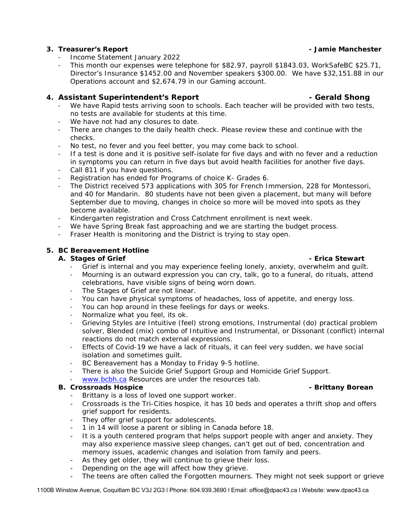# **3. Treasurer's Report - Jamie Manchester**

- <sup>−</sup> Income Statement January 2022
- <sup>−</sup> This month our expenses were telephone for \$82.97, payroll \$1843.03, WorkSafeBC \$25.71, Director's Insurance \$1452.00 and November speakers \$300.00. We have \$32,151.88 in our Operations account and \$2,674.79 in our Gaming account.

# **4. Assistant Superintendent's Report - Gerald Shong**

- We have Rapid tests arriving soon to schools. Each teacher will be provided with two tests, no tests are available for students at this time.
- We have not had any closures to date.
- There are changes to the daily health check. Please review these and continue with the checks.
- No test, no fever and you feel better, you may come back to school.
- If a test is done and it is positive self-isolate for five days and with no fever and a reduction in symptoms you can return in five days but avoid health facilities for another five days.
- <sup>−</sup> Call 811 if you have questions.
- <sup>−</sup> Registration has ended for Programs of choice K- Grades 6.
- The District received 573 applications with 305 for French Immersion, 228 for Montessori, and 40 for Mandarin. 80 students have not been given a placement, but many will before September due to moving, changes in choice so more will be moved into spots as they become available.
- <sup>−</sup> Kindergarten registration and Cross Catchment enrollment is next week.
- We have Spring Break fast approaching and we are starting the budget process.
- Fraser Health is monitoring and the District is trying to stay open.

## **5. BC Bereavement Hotline**

## **A.** Stages of Grief  $\overline{\phantom{a}}$  - Erica Stewart

- Grief is internal and you may experience feeling lonely, anxiety, overwhelm and quilt.
- <sup>−</sup> Mourning is an outward expression you can cry, talk, go to a funeral, do rituals, attend celebrations, have visible signs of being worn down.
- The Stages of Grief are not linear.
- <sup>−</sup> You can have physical symptoms of headaches, loss of appetite, and energy loss.
- You can hop around in these feelings for days or weeks.
- <sup>−</sup> Normalize what you feel, its ok.
- <sup>−</sup> Grieving Styles are Intuitive (feel) strong emotions, Instrumental (do) practical problem solver, Blended (mix) combo of Intuitive and Instrumental, or Dissonant (conflict) internal reactions do not match external expressions.
- Effects of Covid-19 we have a lack of rituals, it can feel very sudden, we have social isolation and sometimes guilt.
- BC Bereavement has a Monday to Friday 9-5 hotline.
- <sup>−</sup> There is also the Suicide Grief Support Group and Homicide Grief Support.
- www.bcbh.ca Resources are under the resources tab.

## **B.** Crossroads Hospice **- Brittany Borean** *Brittany Borean* - Brittany Borean

- Brittany is a loss of loved one support worker.
- Crossroads is the Tri-Cities hospice, it has 10 beds and operates a thrift shop and offers grief support for residents.
- They offer grief support for adolescents.
- 1 in 14 will loose a parent or sibling in Canada before 18.
- It is a youth centered program that helps support people with anger and anxiety. They may also experience massive sleep changes, can't get out of bed, concentration and memory issues, academic changes and isolation from family and peers.
- As they get older, they will continue to grieve their loss.
- Depending on the age will affect how they grieve.
- The teens are often called the Forgotten mourners. They might not seek support or grieve

1100B Winslow Avenue, Coquitlam BC V3J 2G3 l Phone: 604.939.3690 l Email: office@dpac43.ca l Website: www.dpac43.ca